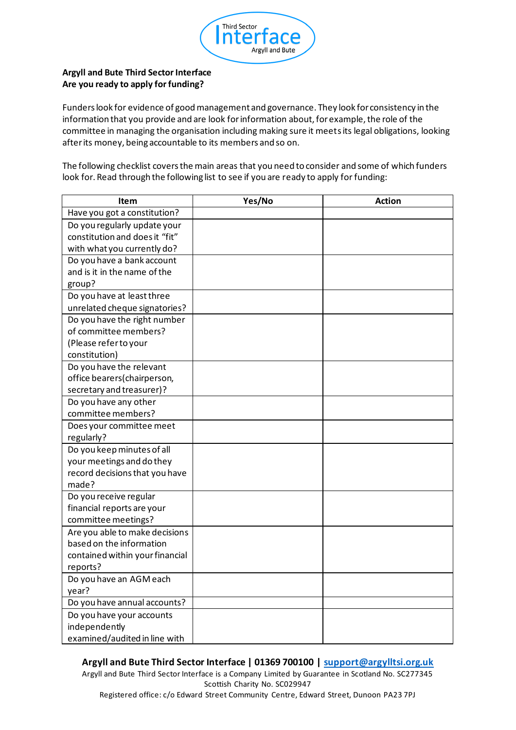

## **Argyll and Bute Third Sector Interface Are you ready to apply for funding?**

Funders look for evidence of good management and governance. They look for consistency in the information that you provide and are look for information about, for example, the role of the committee in managing the organisation including making sure it meets its legal obligations, looking after its money, being accountable to its members and so on.

The following checklist covers the main areas that you need to consider and some of which funders look for. Read through the following list to see if you are ready to apply for funding:

| Item                            | Yes/No | <b>Action</b> |
|---------------------------------|--------|---------------|
| Have you got a constitution?    |        |               |
| Do you regularly update your    |        |               |
| constitution and does it "fit"  |        |               |
| with what you currently do?     |        |               |
| Do you have a bank account      |        |               |
| and is it in the name of the    |        |               |
| group?                          |        |               |
| Do you have at least three      |        |               |
| unrelated cheque signatories?   |        |               |
| Do you have the right number    |        |               |
| of committee members?           |        |               |
| (Please refer to your           |        |               |
| constitution)                   |        |               |
| Do you have the relevant        |        |               |
| office bearers(chairperson,     |        |               |
| secretary and treasurer)?       |        |               |
| Do you have any other           |        |               |
| committee members?              |        |               |
| Does your committee meet        |        |               |
| regularly?                      |        |               |
| Do you keep minutes of all      |        |               |
| your meetings and do they       |        |               |
| record decisions that you have  |        |               |
| made?                           |        |               |
| Do you receive regular          |        |               |
| financial reports are your      |        |               |
| committee meetings?             |        |               |
| Are you able to make decisions  |        |               |
| based on the information        |        |               |
| contained within your financial |        |               |
| reports?                        |        |               |
| Do you have an AGM each         |        |               |
| year?                           |        |               |
| Do you have annual accounts?    |        |               |
| Do you have your accounts       |        |               |
| independently                   |        |               |
| examined/audited in line with   |        |               |

## **Argyll and Bute Third Sector Interface | 01369 700100 | support@argylltsi.org.uk**

Argyll and Bute Third Sector Interface is a Company Limited by Guarantee in Scotland No. SC277345 Scottish Charity No. SC029947

Registered office: c/o Edward Street Community Centre, Edward Street, Dunoon PA23 7PJ